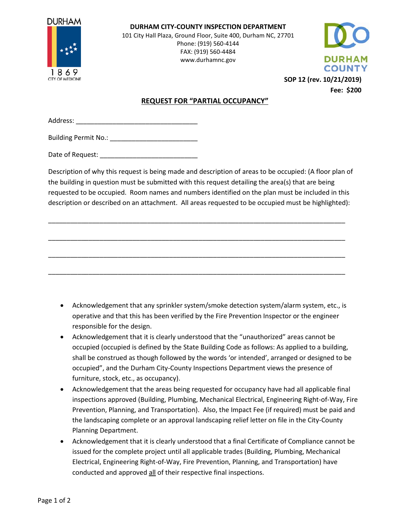

**DURHAM CITY-COUNTY INSPECTION DEPARTMENT** 101 City Hall Plaza, Ground Floor, Suite 400, Durham NC, 27701 Phone: (919) 560-4144 FAX: (919) 560-4484 www.durhamnc.gov



**SOP 12 (rev. 10/21/2019) Fee: \$200**

## **REQUEST FOR "PARTIAL OCCUPANCY"**

Address: \_

Building Permit No.: \_\_\_\_\_\_\_\_\_\_\_\_\_\_\_\_\_\_\_\_\_\_\_\_\_

Date of Request:

Description of why this request is being made and description of areas to be occupied: (A floor plan of the building in question must be submitted with this request detailing the area(s) that are being requested to be occupied. Room names and numbers identified on the plan must be included in this description or described on an attachment. All areas requested to be occupied must be highlighted):

\_\_\_\_\_\_\_\_\_\_\_\_\_\_\_\_\_\_\_\_\_\_\_\_\_\_\_\_\_\_\_\_\_\_\_\_\_\_\_\_\_\_\_\_\_\_\_\_\_\_\_\_\_\_\_\_\_\_\_\_\_\_\_\_\_\_\_\_\_\_\_\_\_\_\_\_\_\_\_\_\_

\_\_\_\_\_\_\_\_\_\_\_\_\_\_\_\_\_\_\_\_\_\_\_\_\_\_\_\_\_\_\_\_\_\_\_\_\_\_\_\_\_\_\_\_\_\_\_\_\_\_\_\_\_\_\_\_\_\_\_\_\_\_\_\_\_\_\_\_\_\_\_\_\_\_\_\_\_\_\_\_\_

\_\_\_\_\_\_\_\_\_\_\_\_\_\_\_\_\_\_\_\_\_\_\_\_\_\_\_\_\_\_\_\_\_\_\_\_\_\_\_\_\_\_\_\_\_\_\_\_\_\_\_\_\_\_\_\_\_\_\_\_\_\_\_\_\_\_\_\_\_\_\_\_\_\_\_\_\_\_\_\_\_

\_\_\_\_\_\_\_\_\_\_\_\_\_\_\_\_\_\_\_\_\_\_\_\_\_\_\_\_\_\_\_\_\_\_\_\_\_\_\_\_\_\_\_\_\_\_\_\_\_\_\_\_\_\_\_\_\_\_\_\_\_\_\_\_\_\_\_\_\_\_\_\_\_\_\_\_\_\_\_\_\_

- Acknowledgement that any sprinkler system/smoke detection system/alarm system, etc., is operative and that this has been verified by the Fire Prevention Inspector or the engineer responsible for the design.
- Acknowledgement that it is clearly understood that the "unauthorized" areas cannot be occupied (occupied is defined by the State Building Code as follows: As applied to a building, shall be construed as though followed by the words 'or intended', arranged or designed to be occupied", and the Durham City-County Inspections Department views the presence of furniture, stock, etc., as occupancy).
- Acknowledgement that the areas being requested for occupancy have had all applicable final inspections approved (Building, Plumbing, Mechanical Electrical, Engineering Right-of-Way, Fire Prevention, Planning, and Transportation). Also, the Impact Fee (if required) must be paid and the landscaping complete or an approval landscaping relief letter on file in the City-County Planning Department.
- Acknowledgement that it is clearly understood that a final Certificate of Compliance cannot be issued for the complete project until all applicable trades (Building, Plumbing, Mechanical Electrical, Engineering Right-of-Way, Fire Prevention, Planning, and Transportation) have conducted and approved all of their respective final inspections.